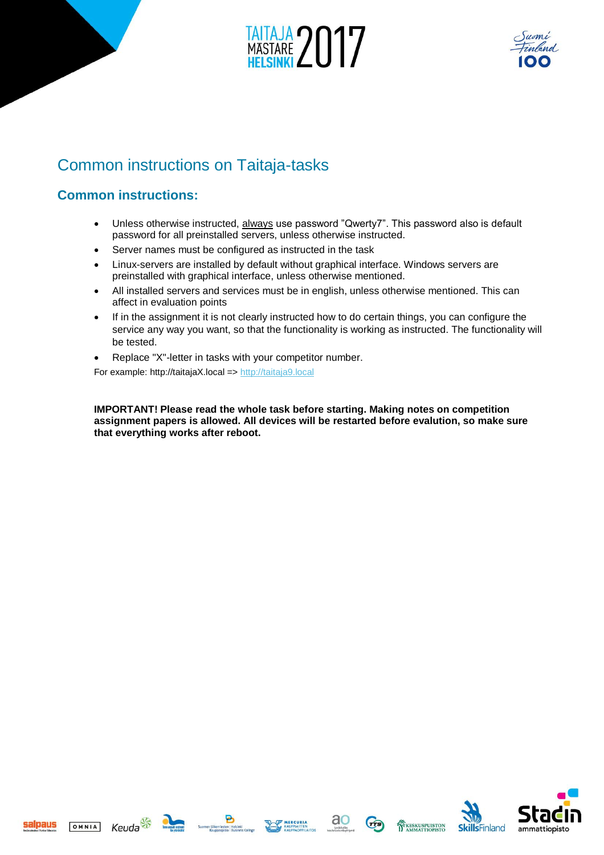



## Common instructions on Taitaja-tasks

### **Common instructions:**

- Unless otherwise instructed, always use password "Qwerty7". This password also is default password for all preinstalled servers, unless otherwise instructed.
- Server names must be configured as instructed in the task
- Linux-servers are installed by default without graphical interface. Windows servers are preinstalled with graphical interface, unless otherwise mentioned.
- All installed servers and services must be in english, unless otherwise mentioned. This can affect in evaluation points
- If in the assignment it is not clearly instructed how to do certain things, you can configure the service any way you want, so that the functionality is working as instructed. The functionality will be tested.
- Replace "X"-letter in tasks with your competitor number.

For example: http://taitajaX.local => [http://taitaja9.local](http://taitaja9.local/)

**IMPORTANT! Please read the whole task before starting. Making notes on competition assignment papers is allowed. All devices will be restarted before evalution, so make sure that everything works after reboot.** 













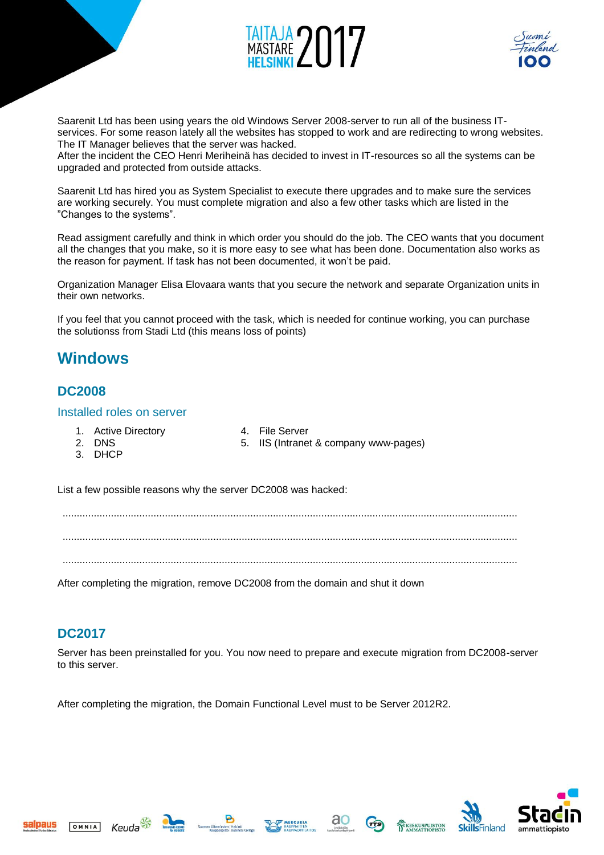



Saarenit Ltd has been using years the old Windows Server 2008-server to run all of the business ITservices. For some reason lately all the websites has stopped to work and are redirecting to wrong websites. The IT Manager believes that the server was hacked.

After the incident the CEO Henri Meriheinä has decided to invest in IT-resources so all the systems can be upgraded and protected from outside attacks.

Saarenit Ltd has hired you as System Specialist to execute there upgrades and to make sure the services are working securely. You must complete migration and also a few other tasks which are listed in the "Changes to the systems".

Read assigment carefully and think in which order you should do the job. The CEO wants that you document all the changes that you make, so it is more easy to see what has been done. Documentation also works as the reason for payment. If task has not been documented, it won't be paid.

Organization Manager Elisa Elovaara wants that you secure the network and separate Organization units in their own networks.

If you feel that you cannot proceed with the task, which is needed for continue working, you can purchase the solutionss from Stadi Ltd (this means loss of points)

### **Windows**

### **DC2008**

#### Installed roles on server

- 1. Active Directory
- 4. File Server
- 2. DNS 5. IIS (Intranet & company www-pages)
	- 3. DHCP

List a few possible reasons why the server DC2008 was hacked:

................................................................................................................................................................ ................................................................................................................................................................ ................................................................................................................................................................

After completing the migration, remove DC2008 from the domain and shut it down

### **DC2017**

OMNIA

Server has been preinstalled for you. You now need to prepare and execute migration from DC2008-server to this server.

After completing the migration, the Domain Functional Level must to be Server 2012R2.











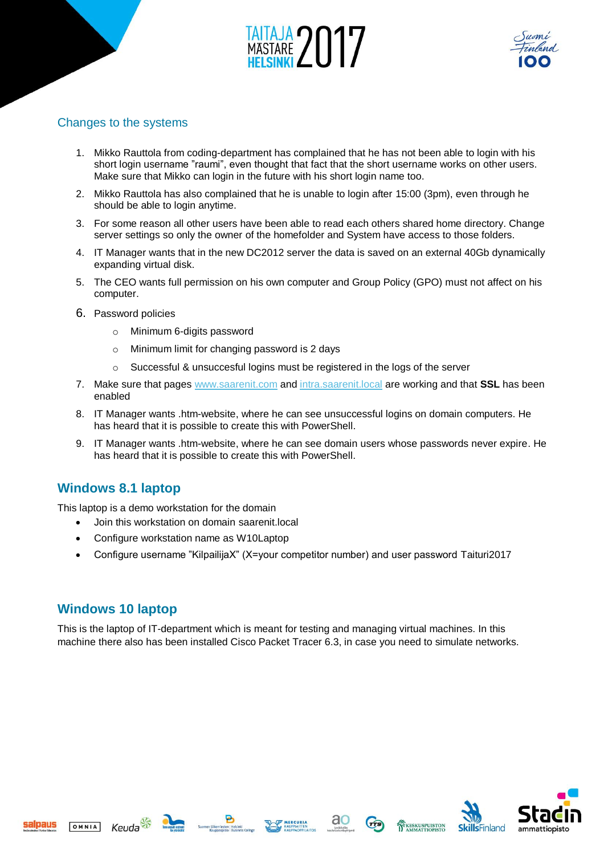



#### Changes to the systems

- 1. Mikko Rauttola from coding-department has complained that he has not been able to login with his short login username "raumi", even thought that fact that the short username works on other users. Make sure that Mikko can login in the future with his short login name too.
- 2. Mikko Rauttola has also complained that he is unable to login after 15:00 (3pm), even through he should be able to login anytime.
- 3. For some reason all other users have been able to read each others shared home directory. Change server settings so only the owner of the homefolder and System have access to those folders.
- 4. IT Manager wants that in the new DC2012 server the data is saved on an external 40Gb dynamically expanding virtual disk.
- 5. The CEO wants full permission on his own computer and Group Policy (GPO) must not affect on his computer.
- 6. Password policies
	- o Minimum 6-digits password
	- o Minimum limit for changing password is 2 days
	- $\circ$  Successful & unsuccesful logins must be registered in the logs of the server
- 7. Make sure that pages [www.saarenit.com](http://www.saarenit.com/) and [intra.saarenit.local](http://intra.saarenit.local/) are working and that **SSL** has been enabled
- 8. IT Manager wants .htm-website, where he can see unsuccessful logins on domain computers. He has heard that it is possible to create this with PowerShell.
- 9. IT Manager wants .htm-website, where he can see domain users whose passwords never expire. He has heard that it is possible to create this with PowerShell.

### **Windows 8.1 laptop**

This laptop is a demo workstation for the domain

- Join this workstation on domain saarenit.local
- Configure workstation name as W10Laptop
- Configure username "KilpailijaX" (X=your competitor number) and user password Taituri2017

### **Windows 10 laptop**

This is the laptop of IT-department which is meant for testing and managing virtual machines. In this machine there also has been installed Cisco Packet Tracer 6.3, in case you need to simulate networks.

OMNIA









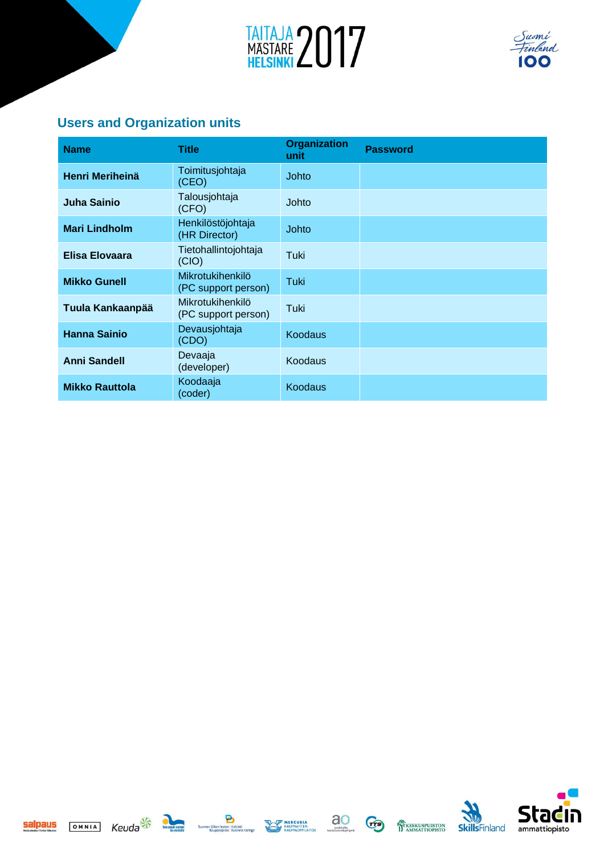



### **Users and Organization units**

| <b>Name</b>            | <b>Title</b>                            | <b>Organization</b><br>unit | <b>Password</b> |
|------------------------|-----------------------------------------|-----------------------------|-----------------|
| <b>Henri Meriheinä</b> | Toimitusjohtaja<br>(CEO)                | Johto                       |                 |
| Juha Sainio            | Talousjohtaja<br>(CFO)                  | Johto                       |                 |
| <b>Mari Lindholm</b>   | Henkilöstöjohtaja<br>(HR Director)      | Johto                       |                 |
| Elisa Elovaara         | Tietohallintojohtaja<br>(CIO)           | Tuki                        |                 |
| <b>Mikko Gunell</b>    | Mikrotukihenkilö<br>(PC support person) | Tuki                        |                 |
| Tuula Kankaanpää       | Mikrotukihenkilö<br>(PC support person) | Tuki                        |                 |
| <b>Hanna Sainio</b>    | Devausjohtaja<br>(CDO)                  | <b>Koodaus</b>              |                 |
| <b>Anni Sandell</b>    | Devaaja<br>(developer)                  | <b>Koodaus</b>              |                 |
| <b>Mikko Rauttola</b>  | Koodaaja<br>(coder)                     | <b>Koodaus</b>              |                 |









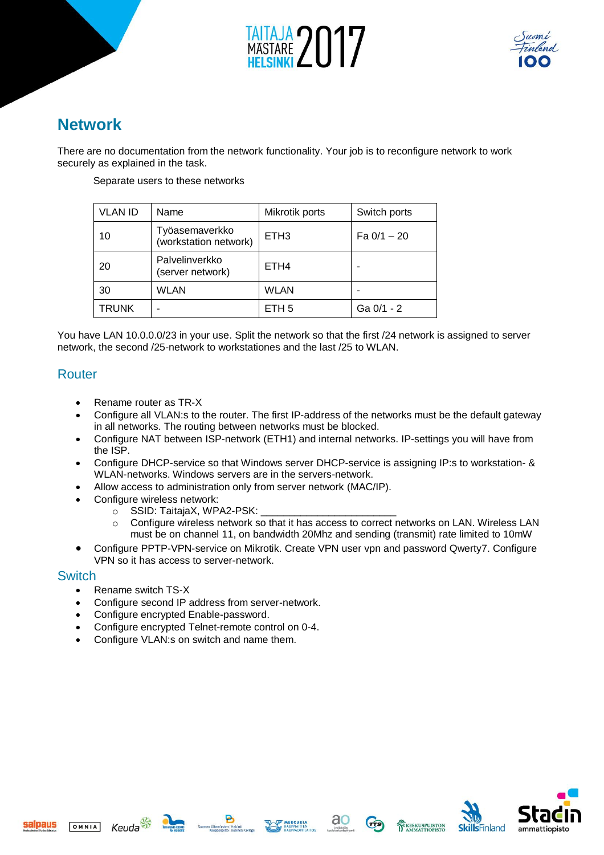



## **Network**

There are no documentation from the network functionality. Your job is to reconfigure network to work securely as explained in the task.

Separate users to these networks

| <b>VLAN ID</b> | Name                                    | Mikrotik ports   | Switch ports  |
|----------------|-----------------------------------------|------------------|---------------|
| 10             | Työasemaverkko<br>(workstation network) | ETH <sub>3</sub> | Fa $0/1 - 20$ |
| 20             | Palvelinverkko<br>(server network)      | ETH <sub>4</sub> |               |
| 30             | <b>WLAN</b>                             | <b>WLAN</b>      |               |
| <b>TRUNK</b>   |                                         | ETH <sub>5</sub> | Ga $0/1 - 2$  |

You have LAN 10.0.0.0/23 in your use. Split the network so that the first /24 network is assigned to server network, the second /25-network to workstationes and the last /25 to WLAN.

### Router

- Rename router as TR-X
- Configure all VLAN:s to the router. The first IP-address of the networks must be the default gateway in all networks. The routing between networks must be blocked.
- Configure NAT between ISP-network (ETH1) and internal networks. IP-settings you will have from the ISP.
- Configure DHCP-service so that Windows server DHCP-service is assigning IP:s to workstation- & WLAN-networks. Windows servers are in the servers-network.
- Allow access to administration only from server network (MAC/IP).
- Configure wireless network:
	- o SSID: TaitajaX, WPA2-PSK:
	- o Configure wireless network so that it has access to correct networks on LAN. Wireless LAN must be on channel 11, on bandwidth 20Mhz and sending (transmit) rate limited to 10mW
- Configure PPTP-VPN-service on Mikrotik. Create VPN user vpn and password Qwerty7. Configure VPN so it has access to server-network.

#### **Switch**

salpaus

- Rename switch TS-X
- Configure second IP address from server-network.
- Configure encrypted Enable-password.
- Configure encrypted Telnet-remote control on 0-4.
- Configure VLAN:s on switch and name them.







KESKUSPUISTON

sra

ammattiopisto

**SkillsFinland**